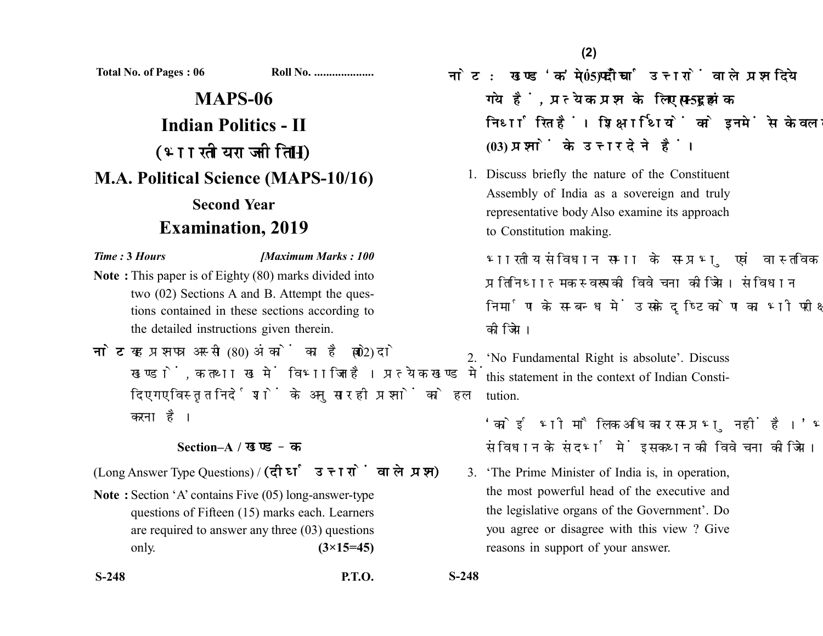**Total No. of Pages : 06 Roll No. ...................** 

## **MAPS-06 Indian Politics - II** (भारतीय राजनीति - II) **M.A. Political Science (MAPS-10/16) Second Year Examination, 2019**

*Time :* **3** *Hours [Maximum Marks : 100*

- **Note :** This paper is of Eighty (80) marks divided into two (02) Sections A and B. Attempt the questions contained in these sections according to the detailed instructions given therein.
- नोट: यह प्रश्नपत्र अस्सी (80) अंकों का है जो दो (02) खण्डों. क तथा ख में विभाजित है। प्रत्येक खण्ड में दिए गए विस्तत निर्देशों के अनसार ही प्रश्नों को हल करना है।

## **Section–A /**

(Long Answer Type Questions) / (दीर्घ उत्तरों वाले प्रश्न)

**Note :** Section 'A' contains Five (05) long-answer-type questions of Fifteen (15) marks each. Learners are required to answer any three (03) questions only. **(3×15=45)**

- नोट: खण्ड 'क' में पाँच (05) दीर्घ उत्तरों वाले प्रश्न दिये गये हैं. प्रत्येक प्रश्न के लिए पन्दह (15) अंक निर्धारित हैं। शिक्षार्थियों को इनमें से केवल तीन **(03)** 
	- 1. Discuss briefly the nature of the Constituent Assembly of India as a sovereign and truly representative body Also examine its approach to Constitution making.

भारतीय संविधान सभा के सम्प्रभ एवं वास्तविक प्रतिनिधात्मक स्वरूप की विवेचना कीजिये। संविधान निर्माण के सम्बन्ध में उसके दुष्टिकोण का भी परीक्षण कोजिये।

2. 'No Fundamental Right is absolute'. Discuss this statement in the context of Indian Constitution.

'कोई भी मौलिक अधिकार सम्प्रभ नहीं है।' भारतीय संविधान के संदर्भ में इस कथन की विवेचना कीजिये।

3. 'The Prime Minister of India is, in operation, the most powerful head of the executive and the legislative organs of the Government'. Do you agree or disagree with this view ? Give reasons in support of your answer.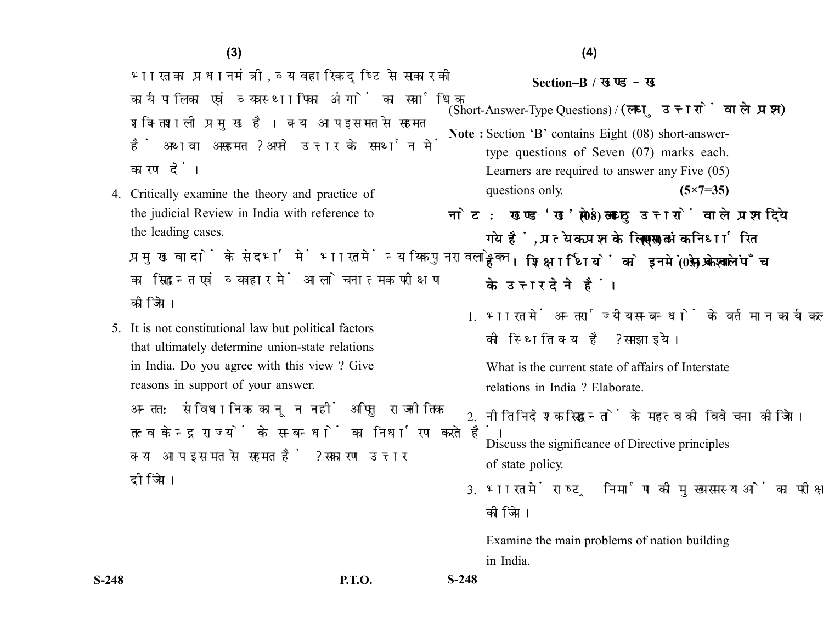भारत का प्रधानमंत्री, व्यावहारिक दृष्टि से सरकार की कार्यपालिका एवं व्यवस्थापिका अंगों का सर्वाधिक शक्तिशाली प्रमुख है। क्या आप इस मत से सहमत हैं अथवा असहमत ? अपने उत्तर के समर्थन में कारण दें।

4. Critically examine the theory and practice of the judicial Review in India with reference to the leading cases.

प्रमुख वादों के संदर्भ में भारत में न्यायिक पुनरावलोकन का सिद्धान्त एवं व्यवहार में आलोचनात्मक परीक्षण कीजिये।

5. It is not constitutional law but political factors that ultimately determine union-state relations in India. Do you agree with this view ? Give reasons in support of your answer.

अन्तत: संविधानिक कानून नहीं अपितु राजनीतिक तत्व केन्द्र राज्यों के सम्बन्धों का निर्धारण करते हैं। क्या आप इस मत से सहमत हैं ? सकारण उत्तर दीजिये।

## **Section–B /**

(Short-Answer-Type Questions) /

- **Note :** Section 'B' contains Eight (08) short-answertype questions of Seven (07) marks each. Learners are required to answer any Five (05) questions only. **(5×7=35)**
- नोट: खण्ड 'ख' में आठ (08) लघु उत्तरों वाले प्रश्न दिये गये हैं, प्रत्येक प्रश्न के लिए सात (07) अंक निर्धारित हैं। शिक्षार्थियों को इनमें से केवल पाँच (05) प्रश्नों के उत्तर देने हैं।
	- 1 भारत में अन्तर्राज्यीय सम्बन्धों के वर्तमान कार्यकलाप की स्थिति क्या है ? समझाइये।

What is the current state of affairs of Interstate relations in India ? Elaborate.

 $2$  नीति निदेशक सिद्धान्तों के महत्व की विवेचना कीजिये।

Discuss the significance of Directive principles of state policy.

3. भारत में राष्ट्र निर्माण की मुख्य समस्याओं का परीक्षण कोजिये।

Examine the main problems of nation building in India.

**S-248 P.T.O. S-248**